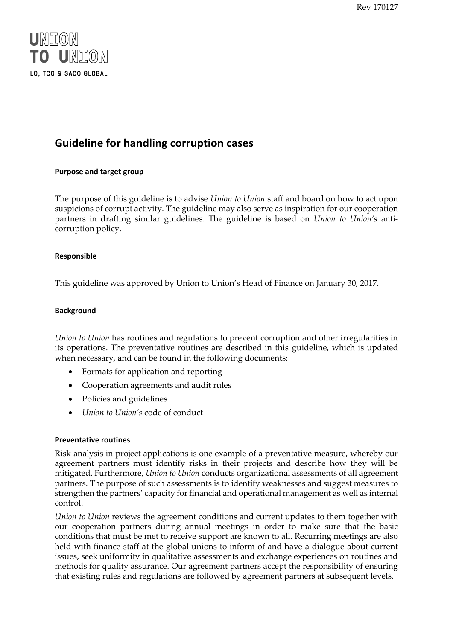Rev 170127



# **Guideline for handling corruption cases**

# **Purpose and target group**

The purpose of this guideline is to advise *Union to Union* staff and board on how to act upon suspicions of corrupt activity. The guideline may also serve as inspiration for our cooperation partners in drafting similar guidelines. The guideline is based on *Union to Union's* anticorruption policy.

# **Responsible**

This guideline was approved by Union to Union's Head of Finance on January 30, 2017.

#### **Background**

*Union to Union* has routines and regulations to prevent corruption and other irregularities in its operations. The preventative routines are described in this guideline, which is updated when necessary, and can be found in the following documents:

- Formats for application and reporting
- Cooperation agreements and audit rules
- Policies and guidelines
- *Union to Union's* code of conduct

#### **Preventative routines**

Risk analysis in project applications is one example of a preventative measure, whereby our agreement partners must identify risks in their projects and describe how they will be mitigated. Furthermore, *Union to Union* conducts organizational assessments of all agreement partners. The purpose of such assessments is to identify weaknesses and suggest measures to strengthen the partners' capacity for financial and operational management as well as internal control.

*Union to Union* reviews the agreement conditions and current updates to them together with our cooperation partners during annual meetings in order to make sure that the basic conditions that must be met to receive support are known to all. Recurring meetings are also held with finance staff at the global unions to inform of and have a dialogue about current issues, seek uniformity in qualitative assessments and exchange experiences on routines and methods for quality assurance. Our agreement partners accept the responsibility of ensuring that existing rules and regulations are followed by agreement partners at subsequent levels.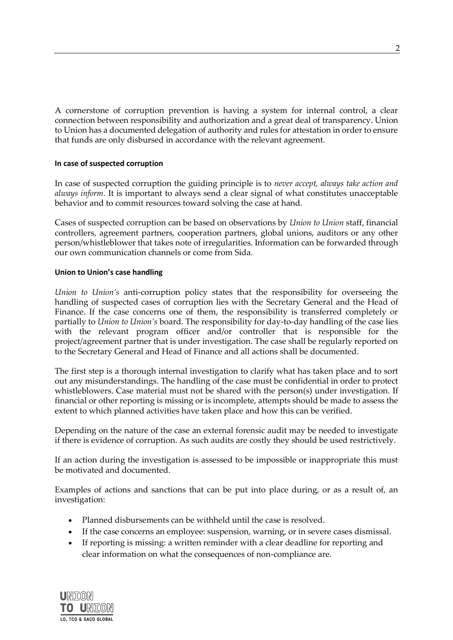A cornerstone of corruption prevention is having a system for internal control, a clear connection between responsibility and authorization and a great deal of transparency. Union to Union has a documented delegation of authority and rules for attestation in order to ensure that funds are only disbursed in accordance with the relevant agreement.

#### **In case of suspected corruption**

In case of suspected corruption the guiding principle is to *never accept, always take action and always inform*. It is important to always send a clear signal of what constitutes unacceptable behavior and to commit resources toward solving the case at hand.

Cases of suspected corruption can be based on observations by *Union to Union* staff, financial controllers, agreement partners, cooperation partners, global unions, auditors or any other person/whistleblower that takes note of irregularities. Information can be forwarded through our own communication channels or come from Sida.

# **Union to Union's case handling**

*Union to Union's* anti-corruption policy states that the responsibility for overseeing the handling of suspected cases of corruption lies with the Secretary General and the Head of Finance. If the case concerns one of them, the responsibility is transferred completely or partially to *Union to Union's* board. The responsibility for day-to-day handling of the case lies with the relevant program officer and/or controller that is responsible for the project/agreement partner that is under investigation. The case shall be regularly reported on to the Secretary General and Head of Finance and all actions shall be documented.

The first step is a thorough internal investigation to clarify what has taken place and to sort out any misunderstandings. The handling of the case must be confidential in order to protect whistleblowers. Case material must not be shared with the person(s) under investigation. If financial or other reporting is missing or is incomplete, attempts should be made to assess the extent to which planned activities have taken place and how this can be verified.

Depending on the nature of the case an external forensic audit may be needed to investigate if there is evidence of corruption. As such audits are costly they should be used restrictively.

If an action during the investigation is assessed to be impossible or inappropriate this must be motivated and documented.

Examples of actions and sanctions that can be put into place during, or as a result of, an investigation:

- Planned disbursements can be withheld until the case is resolved.
- If the case concerns an employee: suspension, warning, or in severe cases dismissal.
- If reporting is missing: a written reminder with a clear deadline for reporting and clear information on what the consequences of non-compliance are.

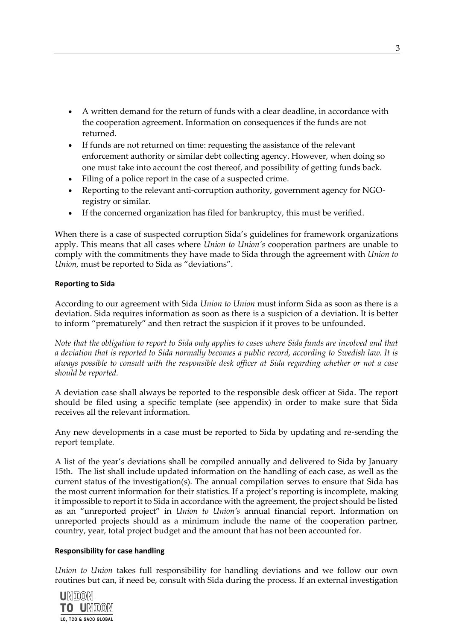- A written demand for the return of funds with a clear deadline, in accordance with the cooperation agreement. Information on consequences if the funds are not returned.
- If funds are not returned on time: requesting the assistance of the relevant enforcement authority or similar debt collecting agency. However, when doing so one must take into account the cost thereof, and possibility of getting funds back.
- Filing of a police report in the case of a suspected crime.
- Reporting to the relevant anti-corruption authority, government agency for NGOregistry or similar.
- If the concerned organization has filed for bankruptcy, this must be verified.

When there is a case of suspected corruption Sida's guidelines for framework organizations apply. This means that all cases where *Union to Union's* cooperation partners are unable to comply with the commitments they have made to Sida through the agreement with *Union to Union,* must be reported to Sida as "deviations".

# **Reporting to Sida**

According to our agreement with Sida *Union to Union* must inform Sida as soon as there is a deviation. Sida requires information as soon as there is a suspicion of a deviation. It is better to inform "prematurely" and then retract the suspicion if it proves to be unfounded.

*Note that the obligation to report to Sida only applies to cases where Sida funds are involved and that a deviation that is reported to Sida normally becomes a public record, according to Swedish law. It is always possible to consult with the responsible desk officer at Sida regarding whether or not a case should be reported.*

A deviation case shall always be reported to the responsible desk officer at Sida. The report should be filed using a specific template (see appendix) in order to make sure that Sida receives all the relevant information.

Any new developments in a case must be reported to Sida by updating and re-sending the report template.

A list of the year's deviations shall be compiled annually and delivered to Sida by January 15th. The list shall include updated information on the handling of each case, as well as the current status of the investigation(s). The annual compilation serves to ensure that Sida has the most current information for their statistics. If a project's reporting is incomplete, making it impossible to report it to Sida in accordance with the agreement, the project should be listed as an "unreported project" in *Union to Union's* annual financial report. Information on unreported projects should as a minimum include the name of the cooperation partner, country, year, total project budget and the amount that has not been accounted for.

#### **Responsibility for case handling**

*Union to Union* takes full responsibility for handling deviations and we follow our own routines but can, if need be, consult with Sida during the process. If an external investigation

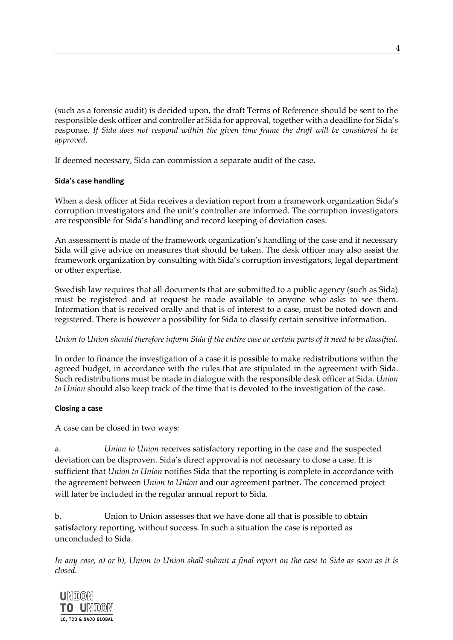(such as a forensic audit) is decided upon, the draft Terms of Reference should be sent to the responsible desk officer and controller at Sida for approval, together with a deadline for Sida's response. *If Sida does not respond within the given time frame the draft will be considered to be approved.*

If deemed necessary, Sida can commission a separate audit of the case.

# **Sida's case handling**

When a desk officer at Sida receives a deviation report from a framework organization Sida's corruption investigators and the unit's controller are informed. The corruption investigators are responsible for Sida's handling and record keeping of deviation cases.

An assessment is made of the framework organization's handling of the case and if necessary Sida will give advice on measures that should be taken. The desk officer may also assist the framework organization by consulting with Sida's corruption investigators, legal department or other expertise.

Swedish law requires that all documents that are submitted to a public agency (such as Sida) must be registered and at request be made available to anyone who asks to see them. Information that is received orally and that is of interest to a case, must be noted down and registered. There is however a possibility for Sida to classify certain sensitive information.

# *Union to Union should therefore inform Sida if the entire case or certain parts of it need to be classified.*

In order to finance the investigation of a case it is possible to make redistributions within the agreed budget, in accordance with the rules that are stipulated in the agreement with Sida. Such redistributions must be made in dialogue with the responsible desk officer at Sida. *Union to Union* should also keep track of the time that is devoted to the investigation of the case.

# **Closing a case**

A case can be closed in two ways:

a. *Union to Union* receives satisfactory reporting in the case and the suspected deviation can be disproven. Sida's direct approval is not necessary to close a case. It is sufficient that *Union to Union* notifies Sida that the reporting is complete in accordance with the agreement between *Union to Union* and our agreement partner. The concerned project will later be included in the regular annual report to Sida.

b. Union to Union assesses that we have done all that is possible to obtain satisfactory reporting, without success. In such a situation the case is reported as unconcluded to Sida.

*In any case, a) or b), Union to Union shall submit a final report on the case to Sida as soon as it is closed.*

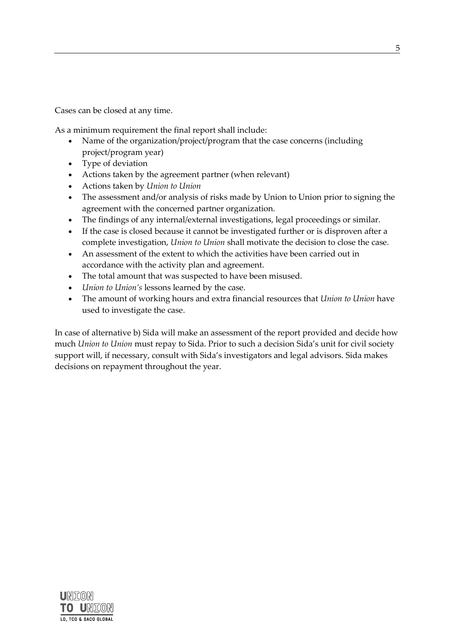Cases can be closed at any time.

As a minimum requirement the final report shall include:

- Name of the organization/project/program that the case concerns (including project/program year)
- Type of deviation
- Actions taken by the agreement partner (when relevant)
- Actions taken by *Union to Union*
- The assessment and/or analysis of risks made by Union to Union prior to signing the agreement with the concerned partner organization.
- The findings of any internal/external investigations, legal proceedings or similar.
- If the case is closed because it cannot be investigated further or is disproven after a complete investigation, *Union to Union* shall motivate the decision to close the case.
- An assessment of the extent to which the activities have been carried out in accordance with the activity plan and agreement.
- The total amount that was suspected to have been misused.
- *Union to Union's* lessons learned by the case.
- The amount of working hours and extra financial resources that *Union to Union* have used to investigate the case.

In case of alternative b) Sida will make an assessment of the report provided and decide how much *Union to Union* must repay to Sida. Prior to such a decision Sida's unit for civil society support will, if necessary, consult with Sida's investigators and legal advisors. Sida makes decisions on repayment throughout the year.

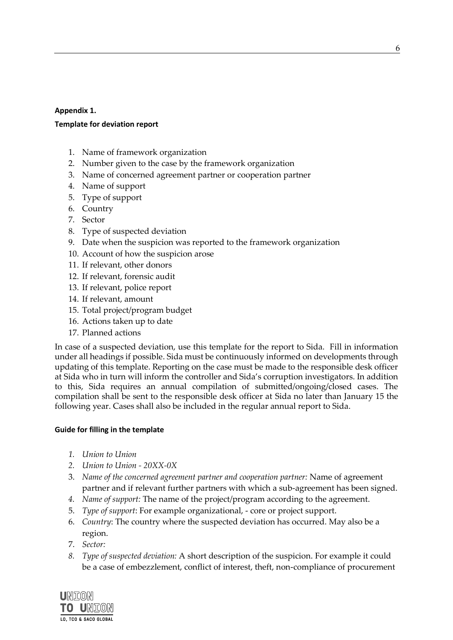# **Appendix 1.**

# **Template for deviation report**

- 1. Name of framework organization
- 2. Number given to the case by the framework organization
- 3. Name of concerned agreement partner or cooperation partner
- 4. Name of support
- 5. Type of support
- 6. Country
- 7. Sector
- 8. Type of suspected deviation
- 9. Date when the suspicion was reported to the framework organization
- 10. Account of how the suspicion arose
- 11. If relevant, other donors
- 12. If relevant, forensic audit
- 13. If relevant, police report
- 14. If relevant, amount
- 15. Total project/program budget
- 16. Actions taken up to date
- 17. Planned actions

In case of a suspected deviation, use this template for the report to Sida. Fill in information under all headings if possible. Sida must be continuously informed on developments through updating of this template. Reporting on the case must be made to the responsible desk officer at Sida who in turn will inform the controller and Sida's corruption investigators. In addition to this, Sida requires an annual compilation of submitted/ongoing/closed cases. The compilation shall be sent to the responsible desk officer at Sida no later than January 15 the following year. Cases shall also be included in the regular annual report to Sida.

# **Guide for filling in the template**

- *1. Union to Union*
- *2. Union to Union - 20XX-0X*
- 3. *Name of the concerned agreement partner and cooperation partner:* Name of agreement partner and if relevant further partners with which a sub-agreement has been signed.
- *4. Name of support:* The name of the project/program according to the agreement.
- 5. *Type of support*: For example organizational, core or project support.
- 6. *Country*: The country where the suspected deviation has occurred. May also be a region.
- 7. *Sector:*
- *8. Type of suspected deviation:* A short description of the suspicion. For example it could be a case of embezzlement, conflict of interest, theft, non-compliance of procurement